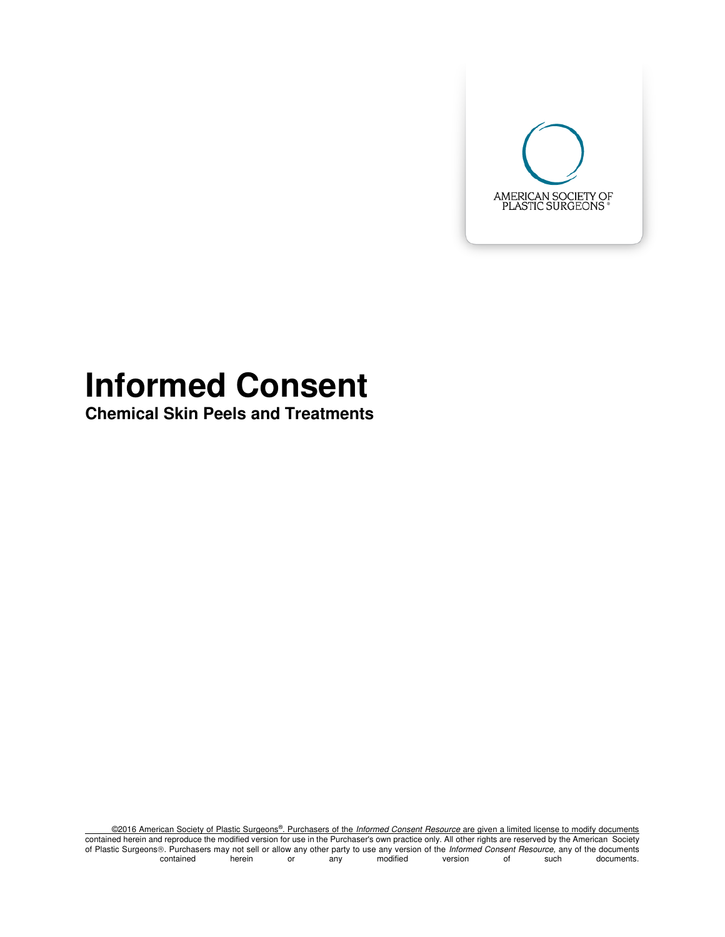

# **Informed Consent**

**Chemical Skin Peels and Treatments** 

©2016 American Society of Plastic Surgeons®. Purchasers of the Informed Consent Resource are given a limited license to modify documents contained herein and reproduce the modified version for use in the Purchaser's own practice only. All other rights are reserved by the American Society of Plastic Surgeons. Purchasers may not sell or allow any other party to use any version of the *Informed Consent Resource*, any of the documents.<br>contained berein or any modified version of such documents. contained herein or any modified version of such documents.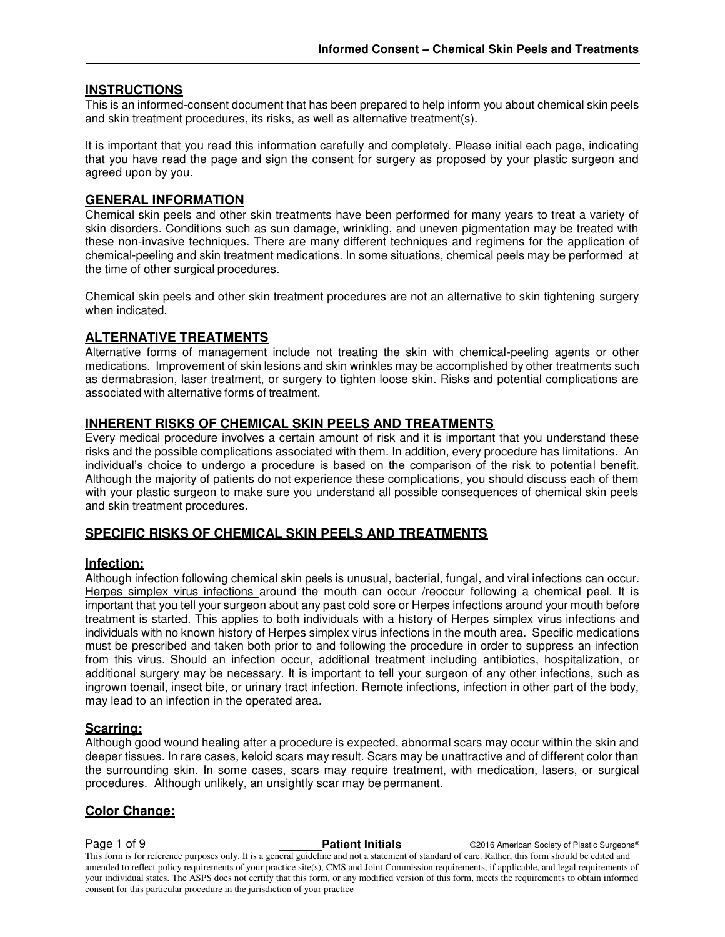#### **INSTRUCTIONS**

This is an informed-consent document that has been prepared to help inform you about chemical skin peels and skin treatment procedures, its risks, as well as alternative treatment(s).

It is important that you read this information carefully and completely. Please initial each page, indicating that you have read the page and sign the consent for surgery as proposed by your plastic surgeon and agreed upon by you.

#### **GENERAL INFORMATION**

Chemical skin peels and other skin treatments have been performed for many years to treat a variety of skin disorders. Conditions such as sun damage, wrinkling, and uneven pigmentation may be treated with these non-invasive techniques. There are many different techniques and regimens for the application of chemical-peeling and skin treatment medications. In some situations, chemical peels may be performed at the time of other surgical procedures.

Chemical skin peels and other skin treatment procedures are not an alternative to skin tightening surgery when indicated.

#### **ALTERNATIVE TREATMENTS**

Alternative forms of management include not treating the skin with chemical-peeling agents or other medications. Improvement of skin lesions and skin wrinkles may be accomplished by other treatments such as dermabrasion, laser treatment, or surgery to tighten loose skin. Risks and potential complications are associated with alternative forms of treatment.

#### **INHERENT RISKS OF CHEMICAL SKIN PEELS AND TREATMENTS**

Every medical procedure involves a certain amount of risk and it is important that you understand these risks and the possible complications associated with them. In addition, every procedure has limitations. An individual's choice to undergo a procedure is based on the comparison of the risk to potential benefit. Although the majority of patients do not experience these complications, you should discuss each of them with your plastic surgeon to make sure you understand all possible consequences of chemical skin peels and skin treatment procedures.

#### **SPECIFIC RISKS OF CHEMICAL SKIN PEELS AND TREATMENTS**

#### **Infection:**

Although infection following chemical skin peels is unusual, bacterial, fungal, and viral infections can occur. Herpes simplex virus infections around the mouth can occur /reoccur following a chemical peel. It is important that you tell your surgeon about any past cold sore or Herpes infections around your mouth before treatment is started. This applies to both individuals with a history of Herpes simplex virus infections and individuals with no known history of Herpes simplex virus infections in the mouth area. Specific medications must be prescribed and taken both prior to and following the procedure in order to suppress an infection from this virus. Should an infection occur, additional treatment including antibiotics, hospitalization, or additional surgery may be necessary. It is important to tell your surgeon of any other infections, such as ingrown toenail, insect bite, or urinary tract infection. Remote infections, infection in other part of the body, may lead to an infection in the operated area.

#### **Scarring:**

Although good wound healing after a procedure is expected, abnormal scars may occur within the skin and deeper tissues. In rare cases, keloid scars may result. Scars may be unattractive and of different color than the surrounding skin. In some cases, scars may require treatment, with medication, lasers, or surgical procedures. Although unlikely, an unsightly scar may be permanent.

#### **Color Change:**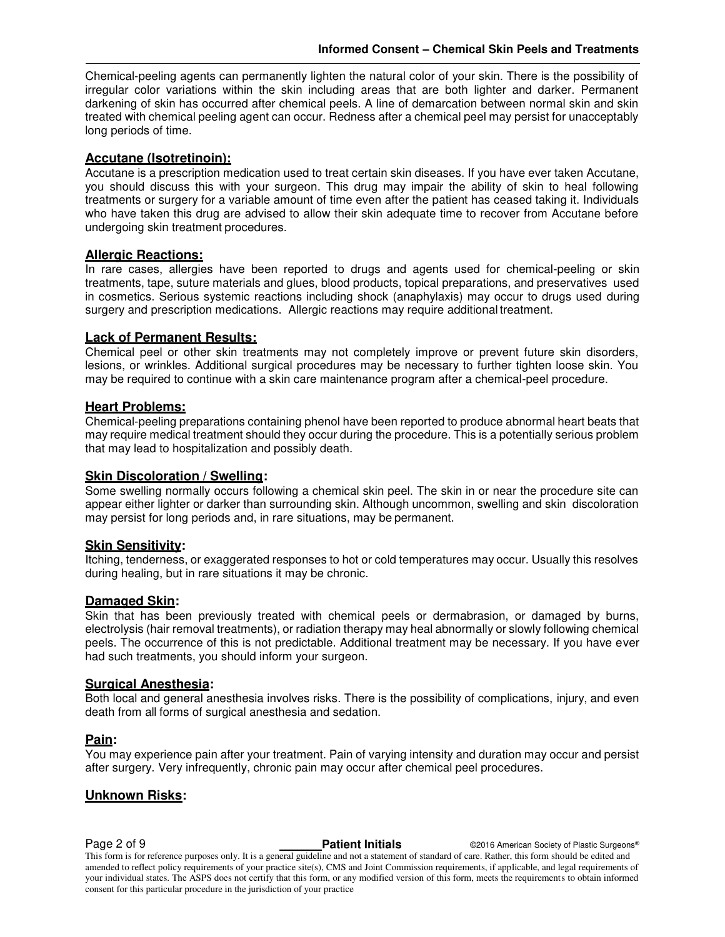Chemical-peeling agents can permanently lighten the natural color of your skin. There is the possibility of irregular color variations within the skin including areas that are both lighter and darker. Permanent darkening of skin has occurred after chemical peels. A line of demarcation between normal skin and skin treated with chemical peeling agent can occur. Redness after a chemical peel may persist for unacceptably long periods of time.

#### **Accutane (Isotretinoin):**

Accutane is a prescription medication used to treat certain skin diseases. If you have ever taken Accutane, you should discuss this with your surgeon. This drug may impair the ability of skin to heal following treatments or surgery for a variable amount of time even after the patient has ceased taking it. Individuals who have taken this drug are advised to allow their skin adequate time to recover from Accutane before undergoing skin treatment procedures.

#### **Allergic Reactions:**

In rare cases, allergies have been reported to drugs and agents used for chemical-peeling or skin treatments, tape, suture materials and glues, blood products, topical preparations, and preservatives used in cosmetics. Serious systemic reactions including shock (anaphylaxis) may occur to drugs used during surgery and prescription medications. Allergic reactions may require additional treatment.

#### **Lack of Permanent Results:**

Chemical peel or other skin treatments may not completely improve or prevent future skin disorders, lesions, or wrinkles. Additional surgical procedures may be necessary to further tighten loose skin. You may be required to continue with a skin care maintenance program after a chemical-peel procedure.

#### **Heart Problems:**

Chemical-peeling preparations containing phenol have been reported to produce abnormal heart beats that may require medical treatment should they occur during the procedure. This is a potentially serious problem that may lead to hospitalization and possibly death.

#### **Skin Discoloration / Swelling:**

Some swelling normally occurs following a chemical skin peel. The skin in or near the procedure site can appear either lighter or darker than surrounding skin. Although uncommon, swelling and skin discoloration may persist for long periods and, in rare situations, may be permanent.

#### **Skin Sensitivity:**

Itching, tenderness, or exaggerated responses to hot or cold temperatures may occur. Usually this resolves during healing, but in rare situations it may be chronic.

#### **Damaged Skin:**

Skin that has been previously treated with chemical peels or dermabrasion, or damaged by burns, electrolysis (hair removal treatments), or radiation therapy may heal abnormally or slowly following chemical peels. The occurrence of this is not predictable. Additional treatment may be necessary. If you have ever had such treatments, you should inform your surgeon.

#### **Surgical Anesthesia:**

Both local and general anesthesia involves risks. There is the possibility of complications, injury, and even death from all forms of surgical anesthesia and sedation.

#### **Pain:**

You may experience pain after your treatment. Pain of varying intensity and duration may occur and persist after surgery. Very infrequently, chronic pain may occur after chemical peel procedures.

#### **Unknown Risks:**

**Page 2 of 9 Patient Initials** ©2016 American Society of Plastic Surgeons® **Patient Initials** ©2016 American Society of Plastic Surgeons®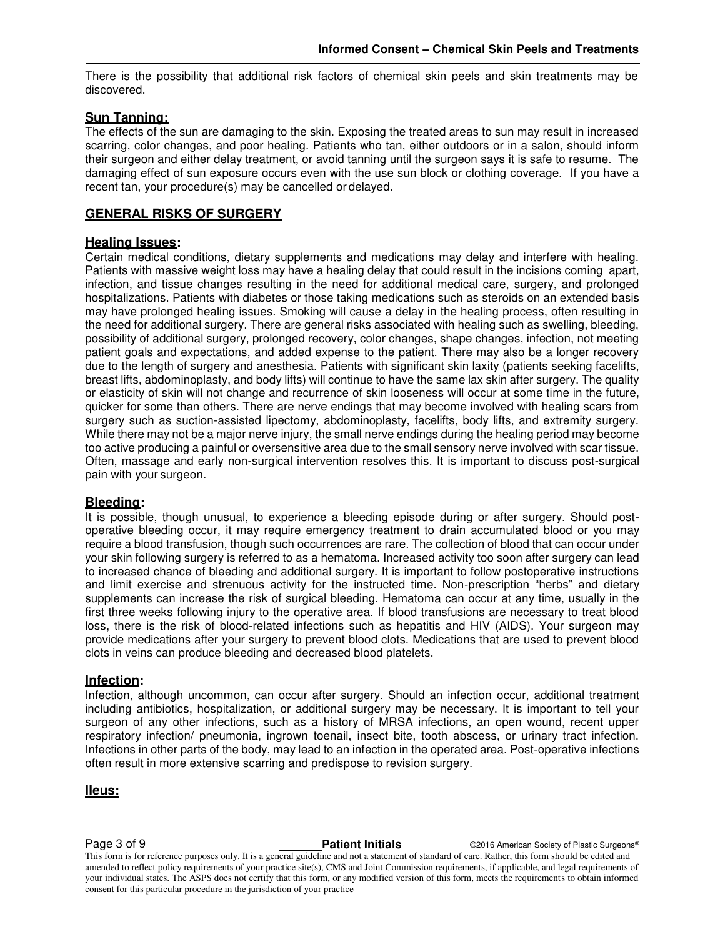There is the possibility that additional risk factors of chemical skin peels and skin treatments may be discovered.

#### **Sun Tanning:**

The effects of the sun are damaging to the skin. Exposing the treated areas to sun may result in increased scarring, color changes, and poor healing. Patients who tan, either outdoors or in a salon, should inform their surgeon and either delay treatment, or avoid tanning until the surgeon says it is safe to resume. The damaging effect of sun exposure occurs even with the use sun block or clothing coverage. If you have a recent tan, your procedure(s) may be cancelled or delayed.

#### **GENERAL RISKS OF SURGERY**

#### **Healing Issues:**

Certain medical conditions, dietary supplements and medications may delay and interfere with healing. Patients with massive weight loss may have a healing delay that could result in the incisions coming apart, infection, and tissue changes resulting in the need for additional medical care, surgery, and prolonged hospitalizations. Patients with diabetes or those taking medications such as steroids on an extended basis may have prolonged healing issues. Smoking will cause a delay in the healing process, often resulting in the need for additional surgery. There are general risks associated with healing such as swelling, bleeding, possibility of additional surgery, prolonged recovery, color changes, shape changes, infection, not meeting patient goals and expectations, and added expense to the patient. There may also be a longer recovery due to the length of surgery and anesthesia. Patients with significant skin laxity (patients seeking facelifts, breast lifts, abdominoplasty, and body lifts) will continue to have the same lax skin after surgery. The quality or elasticity of skin will not change and recurrence of skin looseness will occur at some time in the future, quicker for some than others. There are nerve endings that may become involved with healing scars from surgery such as suction-assisted lipectomy, abdominoplasty, facelifts, body lifts, and extremity surgery. While there may not be a major nerve injury, the small nerve endings during the healing period may become too active producing a painful or oversensitive area due to the small sensory nerve involved with scar tissue. Often, massage and early non-surgical intervention resolves this. It is important to discuss post-surgical pain with your surgeon.

#### **Bleeding:**

It is possible, though unusual, to experience a bleeding episode during or after surgery. Should postoperative bleeding occur, it may require emergency treatment to drain accumulated blood or you may require a blood transfusion, though such occurrences are rare. The collection of blood that can occur under your skin following surgery is referred to as a hematoma. Increased activity too soon after surgery can lead to increased chance of bleeding and additional surgery. It is important to follow postoperative instructions and limit exercise and strenuous activity for the instructed time. Non-prescription "herbs" and dietary supplements can increase the risk of surgical bleeding. Hematoma can occur at any time, usually in the first three weeks following injury to the operative area. If blood transfusions are necessary to treat blood loss, there is the risk of blood-related infections such as hepatitis and HIV (AIDS). Your surgeon may provide medications after your surgery to prevent blood clots. Medications that are used to prevent blood clots in veins can produce bleeding and decreased blood platelets.

#### **Infection:**

Infection, although uncommon, can occur after surgery. Should an infection occur, additional treatment including antibiotics, hospitalization, or additional surgery may be necessary. It is important to tell your surgeon of any other infections, such as a history of MRSA infections, an open wound, recent upper respiratory infection/ pneumonia, ingrown toenail, insect bite, tooth abscess, or urinary tract infection. Infections in other parts of the body, may lead to an infection in the operated area. Post-operative infections often result in more extensive scarring and predispose to revision surgery.

**IIeus:** 

**Page 3 of 9 Patient Initials COVID-2016** American Society of Plastic Surgeons®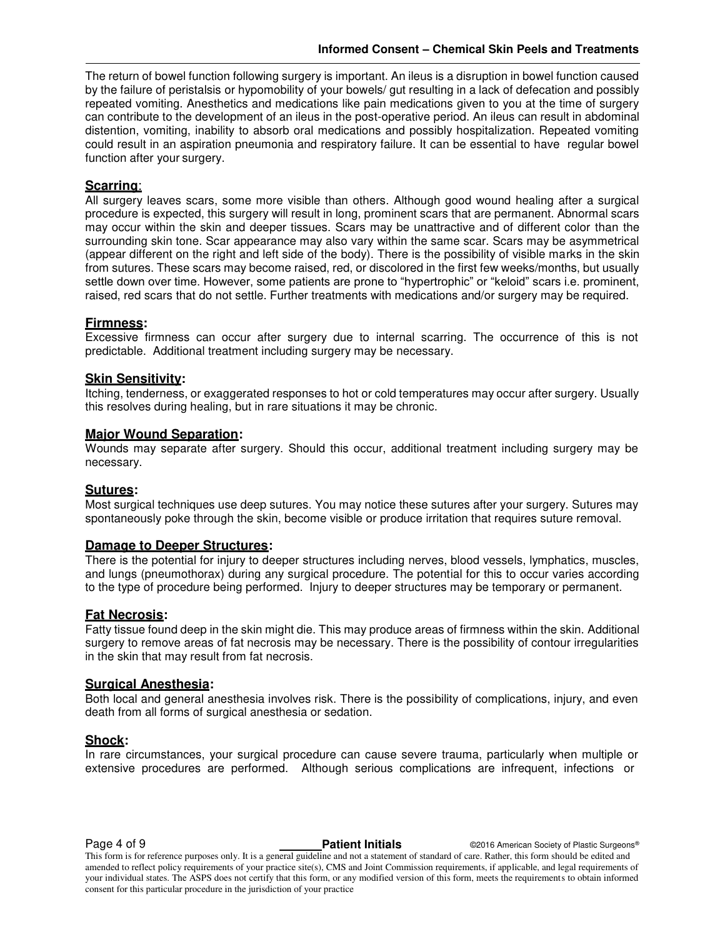The return of bowel function following surgery is important. An ileus is a disruption in bowel function caused by the failure of peristalsis or hypomobility of your bowels/ gut resulting in a lack of defecation and possibly repeated vomiting. Anesthetics and medications like pain medications given to you at the time of surgery can contribute to the development of an ileus in the post-operative period. An ileus can result in abdominal distention, vomiting, inability to absorb oral medications and possibly hospitalization. Repeated vomiting could result in an aspiration pneumonia and respiratory failure. It can be essential to have regular bowel function after your surgery.

#### **Scarring**:

All surgery leaves scars, some more visible than others. Although good wound healing after a surgical procedure is expected, this surgery will result in long, prominent scars that are permanent. Abnormal scars may occur within the skin and deeper tissues. Scars may be unattractive and of different color than the surrounding skin tone. Scar appearance may also vary within the same scar. Scars may be asymmetrical (appear different on the right and left side of the body). There is the possibility of visible marks in the skin from sutures. These scars may become raised, red, or discolored in the first few weeks/months, but usually settle down over time. However, some patients are prone to "hypertrophic" or "keloid" scars i.e. prominent, raised, red scars that do not settle. Further treatments with medications and/or surgery may be required.

#### **Firmness:**

Excessive firmness can occur after surgery due to internal scarring. The occurrence of this is not predictable. Additional treatment including surgery may be necessary.

#### **Skin Sensitivity:**

Itching, tenderness, or exaggerated responses to hot or cold temperatures may occur after surgery. Usually this resolves during healing, but in rare situations it may be chronic.

#### **Major Wound Separation:**

Wounds may separate after surgery. Should this occur, additional treatment including surgery may be necessary.

#### **Sutures:**

Most surgical techniques use deep sutures. You may notice these sutures after your surgery. Sutures may spontaneously poke through the skin, become visible or produce irritation that requires suture removal.

#### **Damage to Deeper Structures:**

There is the potential for injury to deeper structures including nerves, blood vessels, lymphatics, muscles, and lungs (pneumothorax) during any surgical procedure. The potential for this to occur varies according to the type of procedure being performed. Injury to deeper structures may be temporary or permanent.

#### **Fat Necrosis:**

Fatty tissue found deep in the skin might die. This may produce areas of firmness within the skin. Additional surgery to remove areas of fat necrosis may be necessary. There is the possibility of contour irregularities in the skin that may result from fat necrosis.

#### **Surgical Anesthesia:**

Both local and general anesthesia involves risk. There is the possibility of complications, injury, and even death from all forms of surgical anesthesia or sedation.

#### **Shock:**

In rare circumstances, your surgical procedure can cause severe trauma, particularly when multiple or extensive procedures are performed. Although serious complications are infrequent, infections or

**Page 4 of 9 Contract Patient Initials** Capacite American Society of Plastic Surgeons®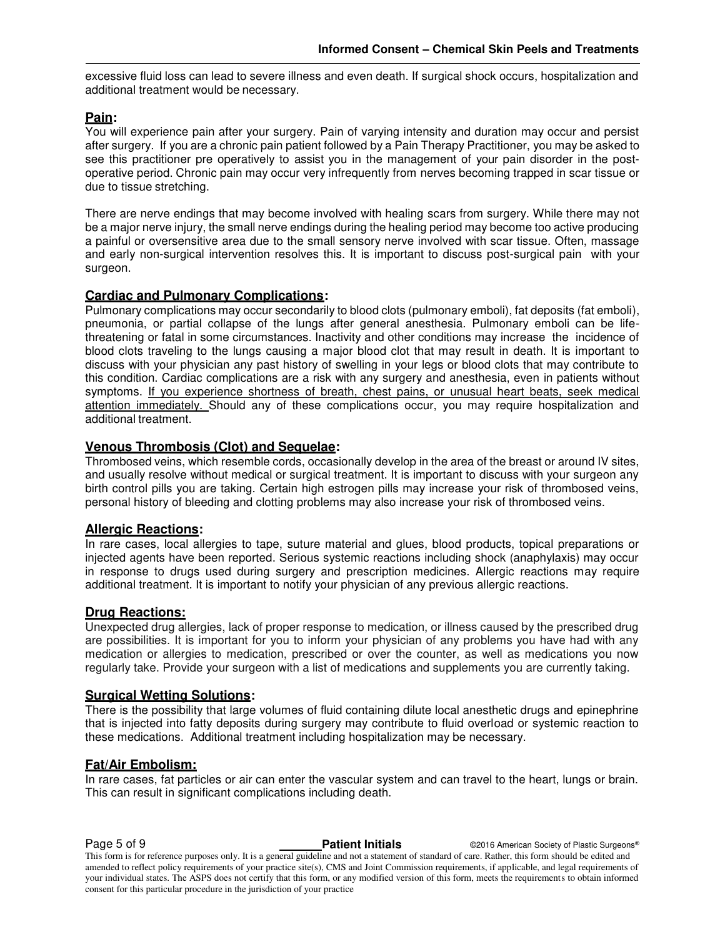excessive fluid loss can lead to severe illness and even death. If surgical shock occurs, hospitalization and additional treatment would be necessary.

#### **Pain:**

You will experience pain after your surgery. Pain of varying intensity and duration may occur and persist after surgery. If you are a chronic pain patient followed by a Pain Therapy Practitioner, you may be asked to see this practitioner pre operatively to assist you in the management of your pain disorder in the postoperative period. Chronic pain may occur very infrequently from nerves becoming trapped in scar tissue or due to tissue stretching.

There are nerve endings that may become involved with healing scars from surgery. While there may not be a major nerve injury, the small nerve endings during the healing period may become too active producing a painful or oversensitive area due to the small sensory nerve involved with scar tissue. Often, massage and early non-surgical intervention resolves this. It is important to discuss post-surgical pain with your surgeon.

#### **Cardiac and Pulmonary Complications:**

Pulmonary complications may occur secondarily to blood clots (pulmonary emboli), fat deposits (fat emboli), pneumonia, or partial collapse of the lungs after general anesthesia. Pulmonary emboli can be lifethreatening or fatal in some circumstances. Inactivity and other conditions may increase the incidence of blood clots traveling to the lungs causing a major blood clot that may result in death. It is important to discuss with your physician any past history of swelling in your legs or blood clots that may contribute to this condition. Cardiac complications are a risk with any surgery and anesthesia, even in patients without symptoms. If you experience shortness of breath, chest pains, or unusual heart beats, seek medical attention immediately. Should any of these complications occur, you may require hospitalization and additional treatment.

#### **Venous Thrombosis (Clot) and Sequelae:**

Thrombosed veins, which resemble cords, occasionally develop in the area of the breast or around IV sites, and usually resolve without medical or surgical treatment. It is important to discuss with your surgeon any birth control pills you are taking. Certain high estrogen pills may increase your risk of thrombosed veins, personal history of bleeding and clotting problems may also increase your risk of thrombosed veins.

#### **Allergic Reactions:**

In rare cases, local allergies to tape, suture material and glues, blood products, topical preparations or injected agents have been reported. Serious systemic reactions including shock (anaphylaxis) may occur in response to drugs used during surgery and prescription medicines. Allergic reactions may require additional treatment. It is important to notify your physician of any previous allergic reactions.

#### **Drug Reactions:**

Unexpected drug allergies, lack of proper response to medication, or illness caused by the prescribed drug are possibilities. It is important for you to inform your physician of any problems you have had with any medication or allergies to medication, prescribed or over the counter, as well as medications you now regularly take. Provide your surgeon with a list of medications and supplements you are currently taking.

#### **Surgical Wetting Solutions:**

There is the possibility that large volumes of fluid containing dilute local anesthetic drugs and epinephrine that is injected into fatty deposits during surgery may contribute to fluid overload or systemic reaction to these medications. Additional treatment including hospitalization may be necessary.

#### **Fat/Air Embolism:**

In rare cases, fat particles or air can enter the vascular system and can travel to the heart, lungs or brain. This can result in significant complications including death.

**Page 5 of 9 Capital Contract Patient Initials** Capacite Contract Contract Contract Patient Initials Contract Contract Contract Contract Patient Initials Contract Contract Contract Contract Contract Contract Patient Initia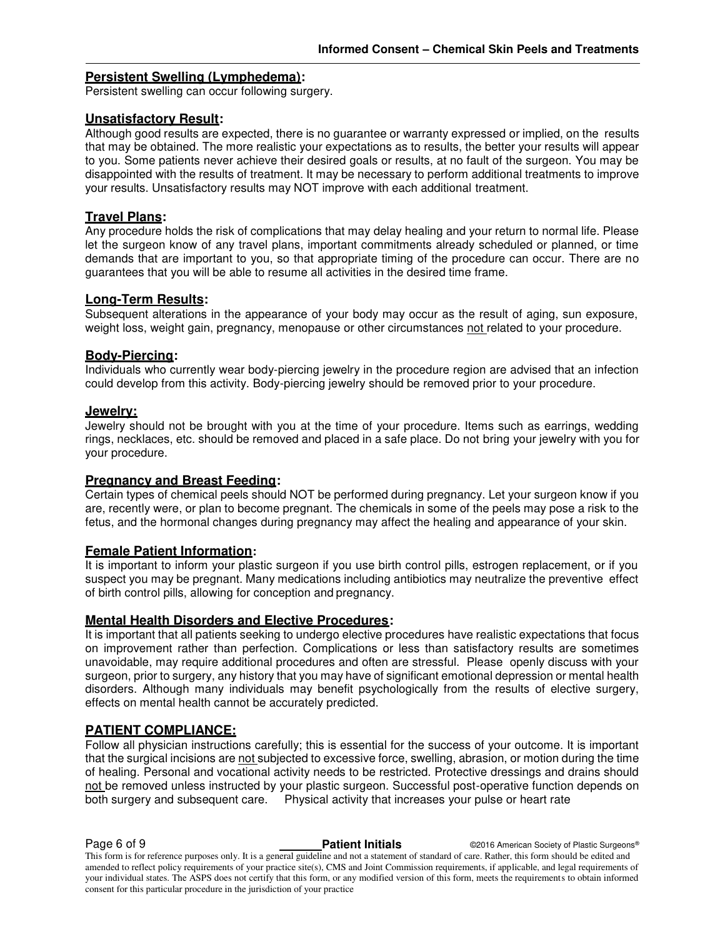#### **Persistent Swelling (Lymphedema):**

Persistent swelling can occur following surgery.

#### **Unsatisfactory Result:**

Although good results are expected, there is no guarantee or warranty expressed or implied, on the results that may be obtained. The more realistic your expectations as to results, the better your results will appear to you. Some patients never achieve their desired goals or results, at no fault of the surgeon. You may be disappointed with the results of treatment. It may be necessary to perform additional treatments to improve your results. Unsatisfactory results may NOT improve with each additional treatment.

### **Travel Plans:**

Any procedure holds the risk of complications that may delay healing and your return to normal life. Please let the surgeon know of any travel plans, important commitments already scheduled or planned, or time demands that are important to you, so that appropriate timing of the procedure can occur. There are no guarantees that you will be able to resume all activities in the desired time frame.

#### **Long-Term Results:**

Subsequent alterations in the appearance of your body may occur as the result of aging, sun exposure, weight loss, weight gain, pregnancy, menopause or other circumstances not related to your procedure.

#### **Body-Piercing:**

Individuals who currently wear body-piercing jewelry in the procedure region are advised that an infection could develop from this activity. Body-piercing jewelry should be removed prior to your procedure.

#### **Jewelry:**

Jewelry should not be brought with you at the time of your procedure. Items such as earrings, wedding rings, necklaces, etc. should be removed and placed in a safe place. Do not bring your jewelry with you for your procedure.

#### **Pregnancy and Breast Feeding:**

Certain types of chemical peels should NOT be performed during pregnancy. Let your surgeon know if you are, recently were, or plan to become pregnant. The chemicals in some of the peels may pose a risk to the fetus, and the hormonal changes during pregnancy may affect the healing and appearance of your skin.

#### **Female Patient Information:**

It is important to inform your plastic surgeon if you use birth control pills, estrogen replacement, or if you suspect you may be pregnant. Many medications including antibiotics may neutralize the preventive effect of birth control pills, allowing for conception and pregnancy.

#### **Mental Health Disorders and Elective Procedures:**

It is important that all patients seeking to undergo elective procedures have realistic expectations that focus on improvement rather than perfection. Complications or less than satisfactory results are sometimes unavoidable, may require additional procedures and often are stressful. Please openly discuss with your surgeon, prior to surgery, any history that you may have of significant emotional depression or mental health disorders. Although many individuals may benefit psychologically from the results of elective surgery, effects on mental health cannot be accurately predicted.

#### **PATIENT COMPLIANCE:**

Follow all physician instructions carefully; this is essential for the success of your outcome. It is important that the surgical incisions are not subjected to excessive force, swelling, abrasion, or motion during the time of healing. Personal and vocational activity needs to be restricted. Protective dressings and drains should not be removed unless instructed by your plastic surgeon. Successful post-operative function depends on both surgery and subsequent care. Physical activity that increases your pulse or heart rate

**Page 6 of 9 Patient Initials COVID-2016** American Society of Plastic Surgeons®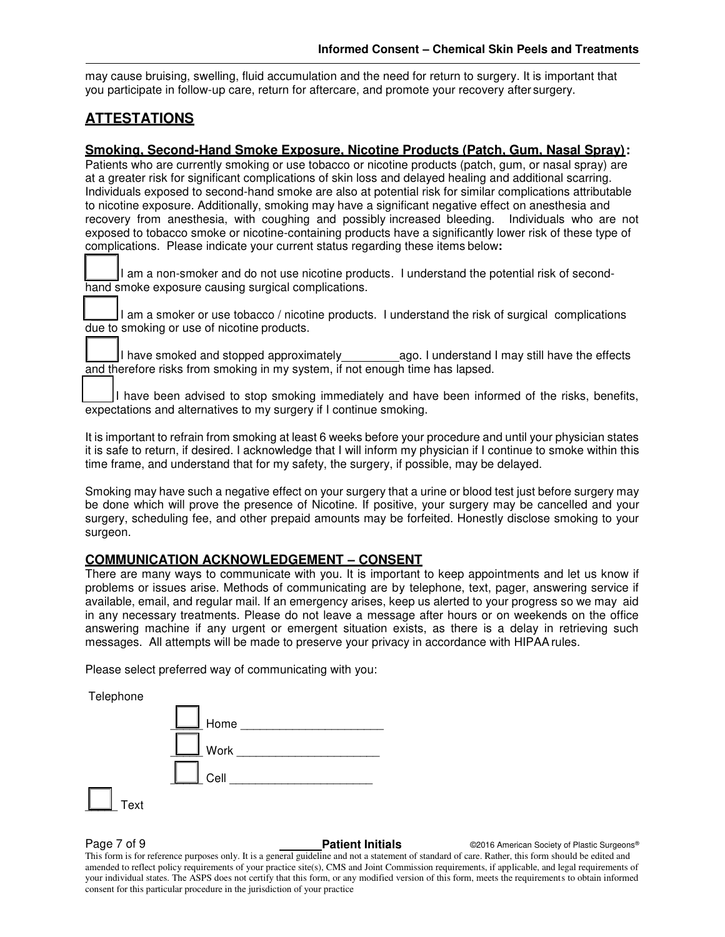may cause bruising, swelling, fluid accumulation and the need for return to surgery. It is important that you participate in follow-up care, return for aftercare, and promote your recovery after surgery.

#### **ATTESTATIONS**

#### **Smoking, Second-Hand Smoke Exposure, Nicotine Products (Patch, Gum, Nasal Spray):**

Patients who are currently smoking or use tobacco or nicotine products (patch, gum, or nasal spray) are at a greater risk for significant complications of skin loss and delayed healing and additional scarring. Individuals exposed to second-hand smoke are also at potential risk for similar complications attributable to nicotine exposure. Additionally, smoking may have a significant negative effect on anesthesia and recovery from anesthesia, with coughing and possibly increased bleeding. Individuals who are not exposed to tobacco smoke or nicotine-containing products have a significantly lower risk of these type of complications. Please indicate your current status regarding these items below**:** 

I am a non-smoker and do not use nicotine products. I understand the potential risk of secondhand smoke exposure causing surgical complications.

 $\Box$  I am a smoker or use tobacco / nicotine products. I understand the risk of surgical complications due to smoking or use of nicotine products.

I have smoked and stopped approximately election and exist and I may still have the effects and therefore risks from smoking in my system, if not enough time has lapsed.

I have been advised to stop smoking immediately and have been informed of the risks, benefits, expectations and alternatives to my surgery if I continue smoking.

It is important to refrain from smoking at least 6 weeks before your procedure and until your physician states it is safe to return, if desired. I acknowledge that I will inform my physician if I continue to smoke within this time frame, and understand that for my safety, the surgery, if possible, may be delayed.

Smoking may have such a negative effect on your surgery that a urine or blood test just before surgery may be done which will prove the presence of Nicotine. If positive, your surgery may be cancelled and your surgery, scheduling fee, and other prepaid amounts may be forfeited. Honestly disclose smoking to your surgeon.

#### **COMMUNICATION ACKNOWLEDGEMENT – CONSENT**

There are many ways to communicate with you. It is important to keep appointments and let us know if problems or issues arise. Methods of communicating are by telephone, text, pager, answering service if available, email, and regular mail. If an emergency arises, keep us alerted to your progress so we may aid in any necessary treatments. Please do not leave a message after hours or on weekends on the office answering machine if any urgent or emergent situation exists, as there is a delay in retrieving such messages. All attempts will be made to preserve your privacy in accordance with HIPAA rules.

Please select preferred way of communicating with you:

 Telephone  $H$ ome  $\Box$  $W$ ork  $\Box$  $C$ ell  $\overline{\phantom{a}}$ \_\_\_\_\_ Text

**Page 7 of 9 Capital Contract Patient Initials** Capacite Contract Contract Contract Patient Initials Contract Contract Contract Contract Patient Initials Contract Contract Contract Contract Contract Contract Patient Initia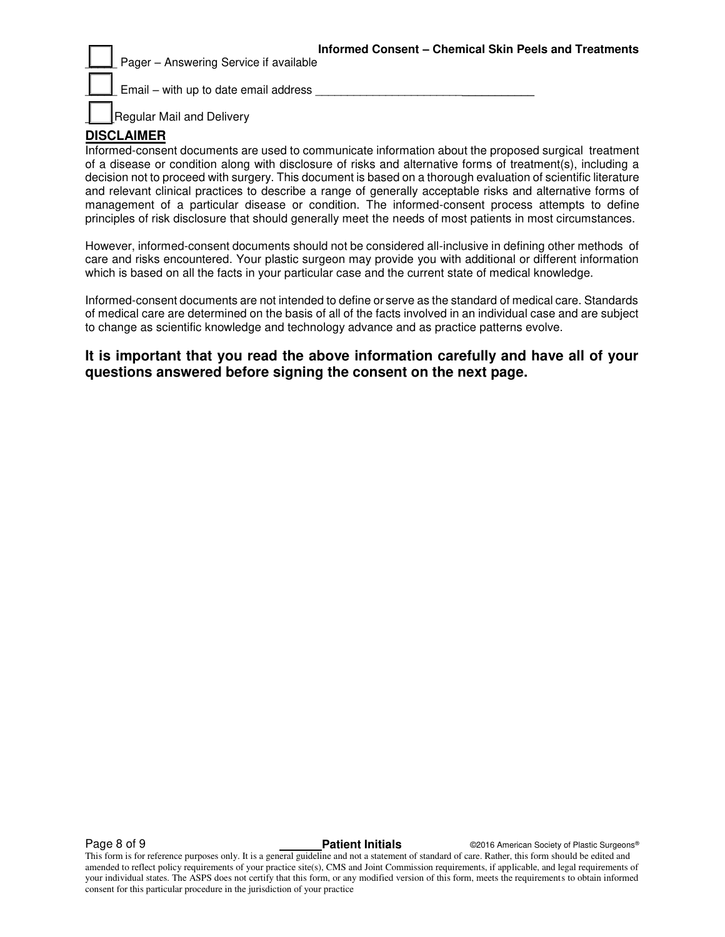**Informed Consent – Chemical Skin Peels and Treatments** Pager – Answering Service if available

 $E$ mail – with up to date email address

Regular Mail and Delivery

#### **DISCLAIMER**

Informed-consent documents are used to communicate information about the proposed surgical treatment of a disease or condition along with disclosure of risks and alternative forms of treatment(s), including a decision not to proceed with surgery. This document is based on a thorough evaluation of scientific literature and relevant clinical practices to describe a range of generally acceptable risks and alternative forms of management of a particular disease or condition. The informed-consent process attempts to define principles of risk disclosure that should generally meet the needs of most patients in most circumstances.

However, informed-consent documents should not be considered all-inclusive in defining other methods of care and risks encountered. Your plastic surgeon may provide you with additional or different information which is based on all the facts in your particular case and the current state of medical knowledge.

Informed-consent documents are not intended to define or serve as the standard of medical care. Standards of medical care are determined on the basis of all of the facts involved in an individual case and are subject to change as scientific knowledge and technology advance and as practice patterns evolve.

**It is important that you read the above information carefully and have all of your questions answered before signing the consent on the next page.**

**Page 8 of 9 Capital Contract Patient Initials** Capaca Contract Contract Contract Patient Initials Contract Contract Operation Contract Patient Initials Contract Operation Contract Patient Initials Contract Operation Contr